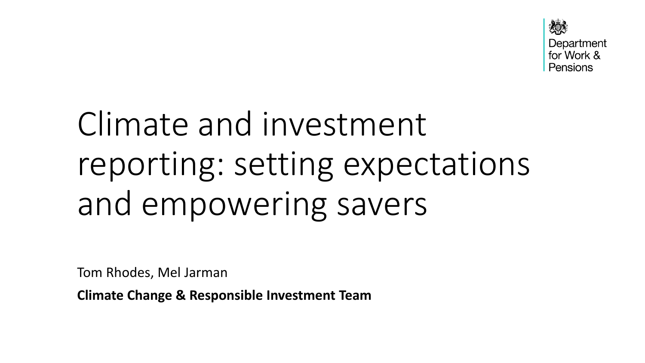

## Climate and investment reporting: setting expectations and empowering savers

Tom Rhodes, Mel Jarman

**Climate Change & Responsible Investment Team**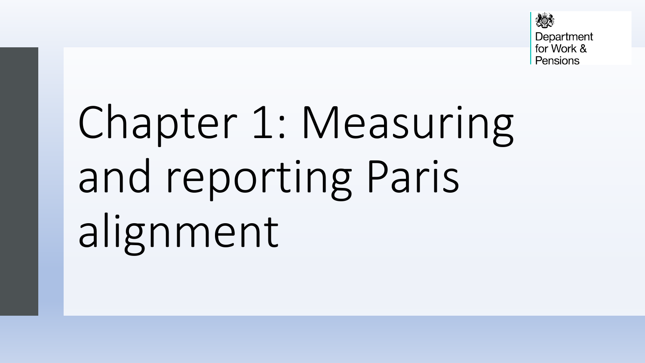

# Chapter 1: Measuring and reporting Paris alignment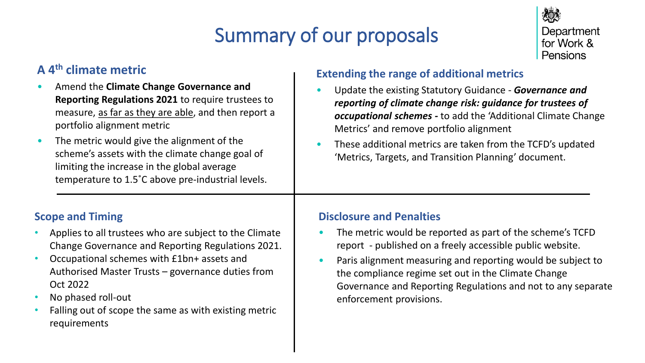## Summary of our proposals



#### **A 4th climate metric**

- Amend the **Climate Change Governance and Reporting Regulations 2021** to require trustees to measure, as far as they are able, and then report a portfolio alignment metric
- The metric would give the alignment of the scheme's assets with the climate change goal of limiting the increase in the global average temperature to 1.5˚C above pre-industrial levels.

#### **Scope and Timing**

- Applies to all trustees who are subject to the Climate Change Governance and Reporting Regulations 2021.
- Occupational schemes with £1bn+ assets and Authorised Master Trusts – governance duties from Oct 2022
- No phased roll-out
- Falling out of scope the same as with existing metric requirements

#### **Extending the range of additional metrics**

- Update the existing Statutory Guidance *Governance and reporting of climate change risk: guidance for trustees of occupational schemes -* to add the 'Additional Climate Change Metrics' and remove portfolio alignment
- These additional metrics are taken from the TCFD's updated 'Metrics, Targets, and Transition Planning' document.

#### **Disclosure and Penalties**

- The metric would be reported as part of the scheme's TCFD report - published on a freely accessible public website.
- Paris alignment measuring and reporting would be subject to the compliance regime set out in the Climate Change Governance and Reporting Regulations and not to any separate enforcement provisions.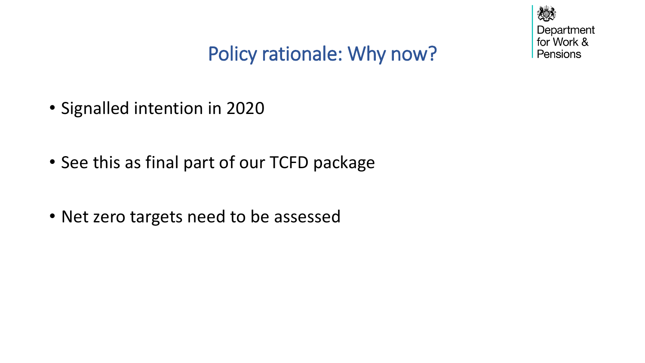

## Policy rationale: Why now?

- Signalled intention in 2020
- See this as final part of our TCFD package
- Net zero targets need to be assessed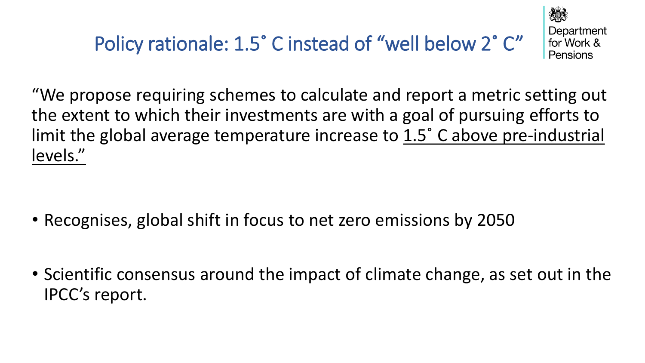

Department for Work & Pensions

"We propose requiring schemes to calculate and report a metric setting out the extent to which their investments are with a goal of pursuing efforts to limit the global average temperature increase to 1.5˚ C above pre-industrial levels."

- Recognises, global shift in focus to net zero emissions by 2050
- Scientific consensus around the impact of climate change, as set out in the IPCC's report.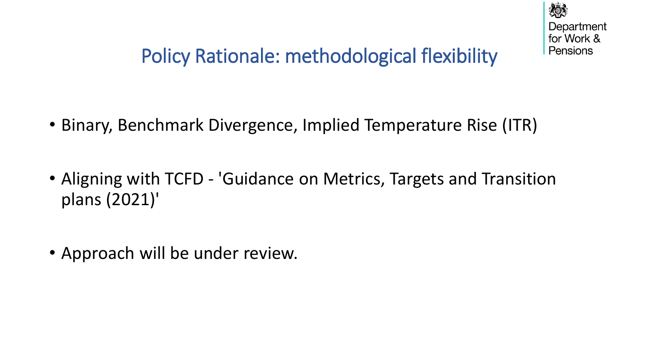

## Policy Rationale: methodological flexibility

- Binary, Benchmark Divergence, Implied Temperature Rise (ITR)
- Aligning with TCFD 'Guidance on Metrics, Targets and Transition plans (2021)'
- Approach will be under review.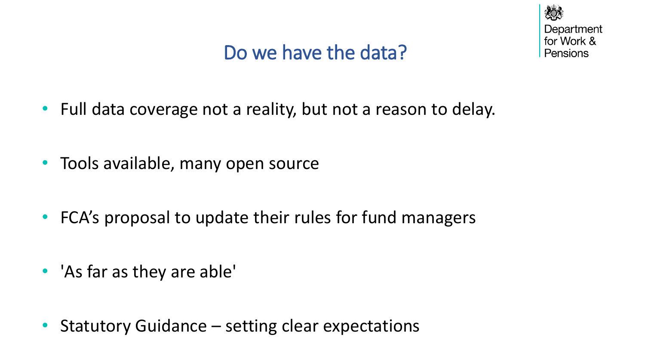## Do we have the data?



- Full data coverage not a reality, but not a reason to delay.
- Tools available, many open source
- FCA's proposal to update their rules for fund managers
- 'As far as they are able'
- Statutory Guidance setting clear expectations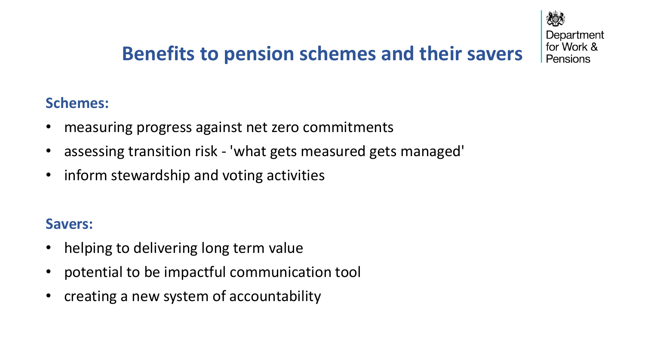

## **Benefits to pension schemes and their savers**

### **Schemes:**

- measuring progress against net zero commitments
- assessing transition risk 'what gets measured gets managed'
- inform stewardship and voting activities

#### **Savers:**

- helping to delivering long term value
- potential to be impactful communication tool
- creating a new system of accountability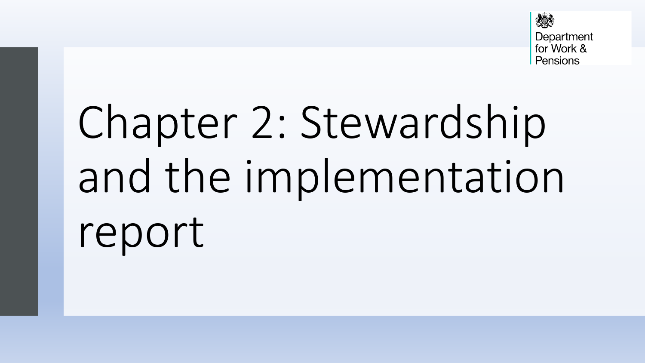

## Chapter 2: Stewardship and the implementation report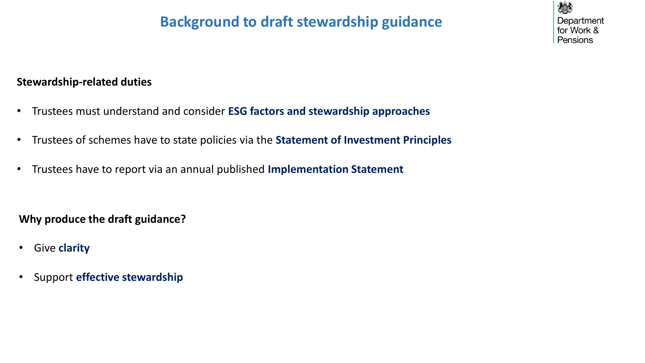## **Background to draft stewardship guidance**

#### **Stewardship-related duties**

- Trustees must understand and consider **ESG factors and stewardship approaches**
- Trustees of schemes have to state policies via the **Statement of Investment Principles**
- Trustees have to report via an annual published **Implementation Statement**

**Why produce the draft guidance?**

- Give **clarity**
- Support **effective stewardship**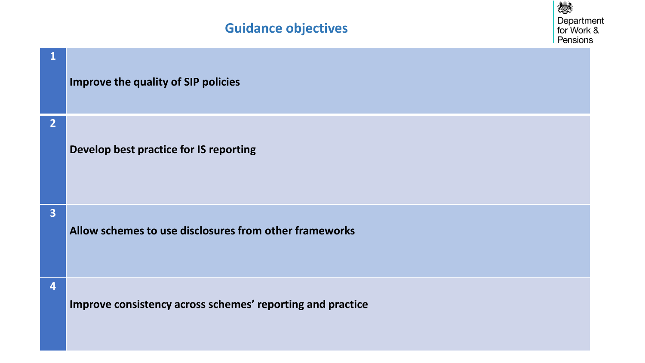

| $\mathbf 1$             | <b>Improve the quality of SIP policies</b>                 |
|-------------------------|------------------------------------------------------------|
| $\overline{2}$          | Develop best practice for IS reporting                     |
| $\overline{\mathbf{3}}$ | Allow schemes to use disclosures from other frameworks     |
| 4                       | Improve consistency across schemes' reporting and practice |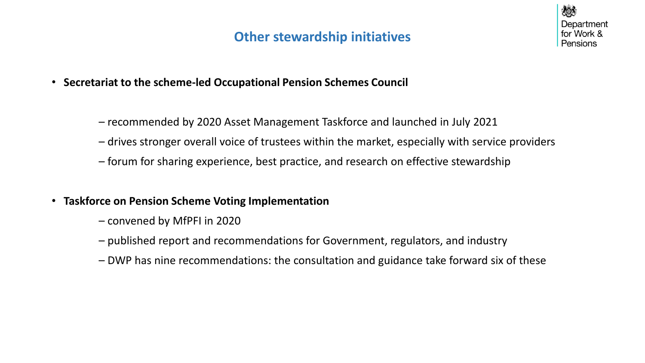### **Other stewardship initiatives**



- **Secretariat to the scheme-led Occupational Pension Schemes Council**
	- recommended by 2020 Asset Management Taskforce and launched in July 2021
	- drives stronger overall voice of trustees within the market, especially with service providers
	- forum for sharing experience, best practice, and research on effective stewardship
- **Taskforce on Pension Scheme Voting Implementation**
	- convened by MfPFI in 2020
	- published report and recommendations for Government, regulators, and industry
	- DWP has nine recommendations: the consultation and guidance take forward six of these